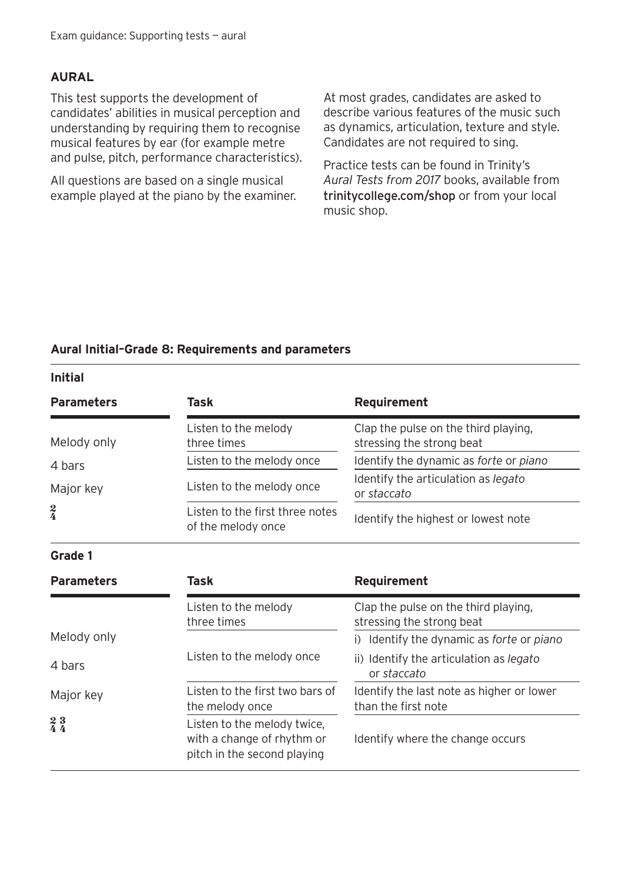#### **AURAL**

This test supports the development of candidates' abilities in musical perception and understanding by requiring them to recognise musical features by ear (for example metre and pulse, pitch, performance characteristics).

All questions are based on a single musical example played at the piano by the examiner. At most grades, candidates are asked to describe various features of the music such as dynamics, articulation, texture and style. Candidates are not required to sing.

Practice tests can be found in Trinity's *Aural Tests from 2017* books, available from trinitycollege.com/shop or from your local music shop.

#### **Aural Initial–Grade 8: Requirements and parameters**

**Initial**

| <b>Parameters</b>                                      | Task                                                                                     | Requirement                                                       |
|--------------------------------------------------------|------------------------------------------------------------------------------------------|-------------------------------------------------------------------|
| Melody only                                            | Listen to the melody<br>three times                                                      | Clap the pulse on the third playing,<br>stressing the strong beat |
| 4 bars                                                 | Listen to the melody once                                                                | Identify the dynamic as forte or piano                            |
| Major key                                              | Listen to the melody once                                                                | Identify the articulation as legato<br>or staccato                |
| $\frac{2}{4}$                                          | Listen to the first three notes<br>of the melody once                                    | Identify the highest or lowest note                               |
| Grade 1                                                |                                                                                          |                                                                   |
| <b>Parameters</b>                                      | Task                                                                                     | Requirement                                                       |
|                                                        | Listen to the melody<br>three times                                                      | Clap the pulse on the third playing,<br>stressing the strong beat |
| Melody only                                            |                                                                                          | Identify the dynamic as forte or piano<br>i)                      |
| 4 bars                                                 | Listen to the melody once                                                                | ii) Identify the articulation as legato<br>or staccato            |
| Major key                                              | Listen to the first two bars of<br>the melody once                                       | Identify the last note as higher or lower<br>than the first note  |
| $\begin{smallmatrix} 2 & 3 \\ 4 & 4 \end{smallmatrix}$ | Listen to the melody twice,<br>with a change of rhythm or<br>pitch in the second playing | Identify where the change occurs                                  |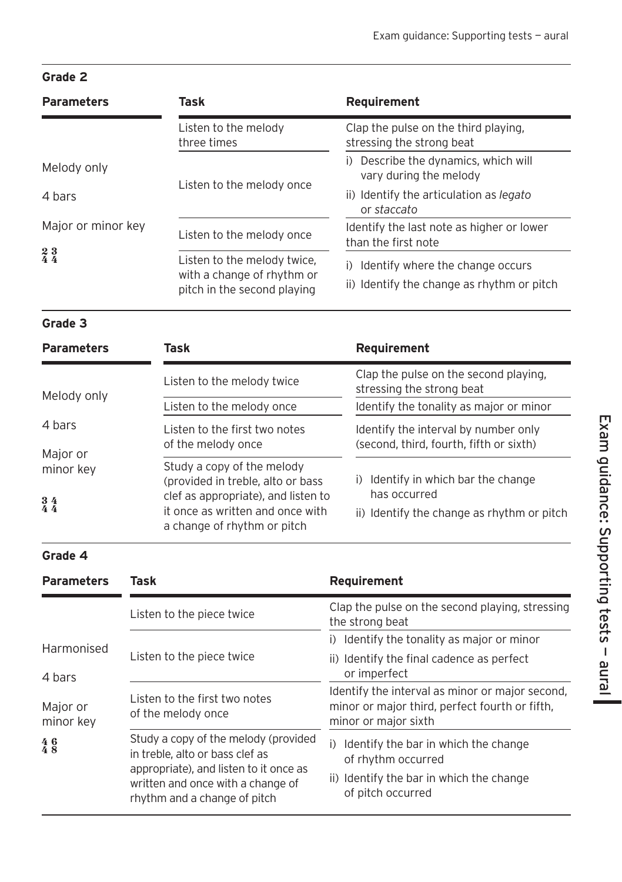## **Grade 2**

| <b>Parameters</b>                                                            | Task                                                                                     | Requirement                                                                          |
|------------------------------------------------------------------------------|------------------------------------------------------------------------------------------|--------------------------------------------------------------------------------------|
|                                                                              | Listen to the melody<br>three times                                                      | Clap the pulse on the third playing,<br>stressing the strong beat                    |
| Melody only                                                                  | Listen to the melody once                                                                | i) Describe the dynamics, which will<br>vary during the melody                       |
| 4 hars                                                                       |                                                                                          | ii) Identify the articulation as legato<br>or staccato                               |
| Major or minor key<br>$\begin{smallmatrix} 2 & 3 \\ 4 & 4 \end{smallmatrix}$ | Listen to the melody once                                                                | Identify the last note as higher or lower<br>than the first note                     |
|                                                                              | Listen to the melody twice,<br>with a change of rhythm or<br>pitch in the second playing | Identify where the change occurs<br>i)<br>ii) Identify the change as rhythm or pitch |

# **Grade 3**

| <b>Parameters</b>                      | Task                                                                                                   | Requirement                                                                     |
|----------------------------------------|--------------------------------------------------------------------------------------------------------|---------------------------------------------------------------------------------|
| Melody only                            | Listen to the melody twice                                                                             | Clap the pulse on the second playing,<br>stressing the strong beat              |
|                                        | Listen to the melody once                                                                              | Identify the tonality as major or minor                                         |
| 4 hars                                 | Listen to the first two notes<br>of the melody once                                                    | Identify the interval by number only<br>(second, third, fourth, fifth or sixth) |
| Major or<br>minor key<br>$\frac{3}{4}$ | Study a copy of the melody<br>(provided in treble, alto or bass<br>clef as appropriate), and listen to | Identify in which bar the change<br>i)<br>has occurred                          |
|                                        | it once as written and once with<br>a change of rhythm or pitch                                        | ii) Identify the change as rhythm or pitch                                      |

## **Grade 4**

| <b>Parameters</b>           | Task                                                                                                                                                                                   | Requirement                                                                                                                       |
|-----------------------------|----------------------------------------------------------------------------------------------------------------------------------------------------------------------------------------|-----------------------------------------------------------------------------------------------------------------------------------|
|                             | Listen to the piece twice                                                                                                                                                              | Clap the pulse on the second playing, stressing<br>the strong beat                                                                |
| Harmonised<br>4 bars        | Listen to the piece twice                                                                                                                                                              | Identify the tonality as major or minor<br>i)                                                                                     |
|                             |                                                                                                                                                                                        | ii) Identify the final cadence as perfect<br>or imperfect                                                                         |
| Major or<br>minor key       | Listen to the first two notes<br>of the melody once                                                                                                                                    | Identify the interval as minor or major second,<br>minor or major third, perfect fourth or fifth,<br>minor or major sixth         |
| $\frac{4}{4}$ $\frac{6}{8}$ | Study a copy of the melody (provided<br>in treble, alto or bass clef as<br>appropriate), and listen to it once as<br>written and once with a change of<br>rhythm and a change of pitch | Identify the bar in which the change<br>i)<br>of rhythm occurred<br>ii) Identify the bar in which the change<br>of pitch occurred |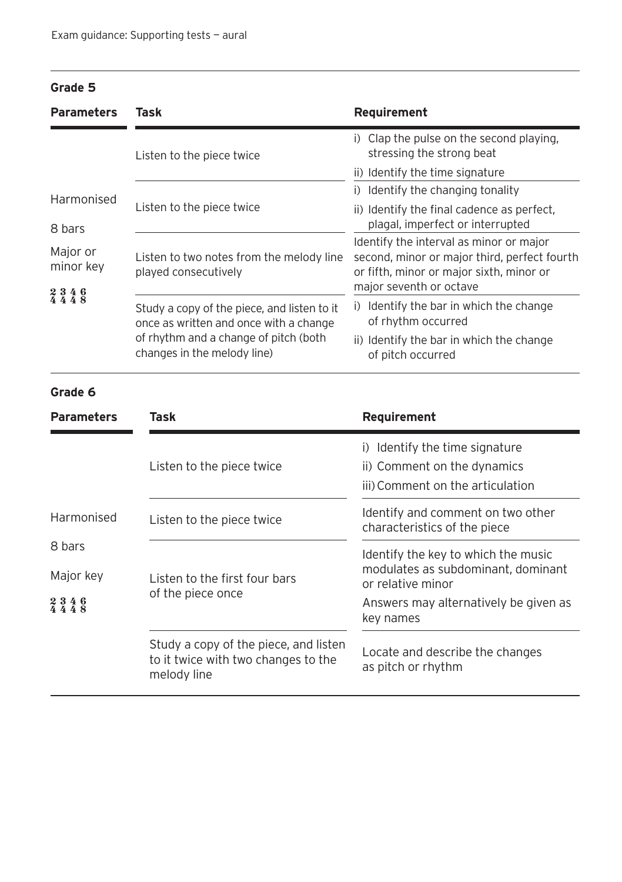### **Grade 5**

| <b>Parameters</b>     | Task                                                                                                                                                          | Requirement                                                                                                                         |
|-----------------------|---------------------------------------------------------------------------------------------------------------------------------------------------------------|-------------------------------------------------------------------------------------------------------------------------------------|
|                       | Listen to the piece twice                                                                                                                                     | i) Clap the pulse on the second playing,<br>stressing the strong beat                                                               |
|                       |                                                                                                                                                               | ii) Identify the time signature                                                                                                     |
| Harmonised            | Listen to the piece twice                                                                                                                                     | i) Identify the changing tonality                                                                                                   |
|                       |                                                                                                                                                               | ii) Identify the final cadence as perfect,                                                                                          |
| 8 bars                |                                                                                                                                                               | plagal, imperfect or interrupted                                                                                                    |
| Major or<br>minor key | Listen to two notes from the melody line<br>played consecutively                                                                                              | Identify the interval as minor or major<br>second, minor or major third, perfect fourth<br>or fifth, minor or major sixth, minor or |
| $2346$<br>4448        |                                                                                                                                                               | major seventh or octave                                                                                                             |
|                       | Study a copy of the piece, and listen to it<br>once as written and once with a change<br>of rhythm and a change of pitch (both<br>changes in the melody line) | Identify the bar in which the change<br>$\Box$<br>of rhythm occurred                                                                |
|                       |                                                                                                                                                               | ii) Identify the bar in which the change<br>of pitch occurred                                                                       |

### **Grade 6**

| <b>Parameters</b> | Task                                                                                        | Requirement                                                                                          |
|-------------------|---------------------------------------------------------------------------------------------|------------------------------------------------------------------------------------------------------|
|                   | Listen to the piece twice                                                                   | Identify the time signature<br>i)<br>ii) Comment on the dynamics<br>iii) Comment on the articulation |
| Harmonised        | Listen to the piece twice                                                                   | Identify and comment on two other<br>characteristics of the piece                                    |
| 8 bars            |                                                                                             | Identify the key to which the music<br>modulates as subdominant, dominant<br>or relative minor       |
| Major key         | Listen to the first four bars<br>of the piece once                                          |                                                                                                      |
| $2346$<br>4448    |                                                                                             | Answers may alternatively be given as<br>key names                                                   |
|                   | Study a copy of the piece, and listen<br>to it twice with two changes to the<br>melody line | Locate and describe the changes<br>as pitch or rhythm                                                |